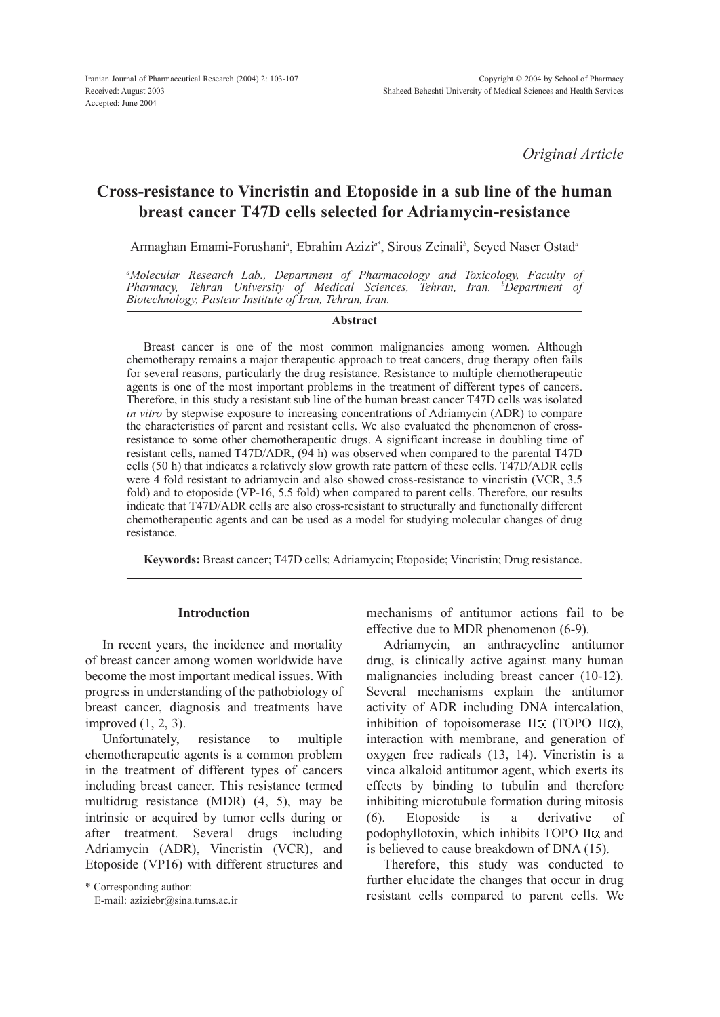*Original Article*

# Cross-resistance to Vincristin and Etoposide in a sub line of the human breast cancer T47D cells selected for Adriamycin-resistance

Armaghan Emami-Forushani*<sup>a</sup>* , Ebrahim Azizi*a\** , Sirous Zeinali*<sup>b</sup>* , Seyed Naser Ostad*<sup>a</sup>*

*<sup>a</sup>Molecular Research Lab., Department of Pharmacology and Toxicology, Faculty of Pharmacy, Tehran University of Medical Sciences, Tehran, Iran. <sup>b</sup>Department of Biotechnology, Pasteur Institute of Iran, Tehran, Iran.*

### Abstract

Breast cancer is one of the most common malignancies among women. Although chemotherapy remains a major therapeutic approach to treat cancers, drug therapy often fails for several reasons, particularly the drug resistance. Resistance to multiple chemotherapeutic agents is one of the most important problems in the treatment of different types of cancers. Therefore, in this study a resistant sub line of the human breast cancer T47D cells was isolated *in vitro* by stepwise exposure to increasing concentrations of Adriamycin (ADR) to compare the characteristics of parent and resistant cells. We also evaluated the phenomenon of crossresistance to some other chemotherapeutic drugs. A significant increase in doubling time of resistant cells, named T47D/ADR, (94 h) was observed when compared to the parental T47D cells (50 h) that indicates a relatively slow growth rate pattern of these cells. T47D/ADR cells were 4 fold resistant to adriamycin and also showed cross-resistance to vincristin (VCR, 3.5 fold) and to etoposide (VP-16, 5.5 fold) when compared to parent cells. Therefore, our results indicate that T47D/ADR cells are also cross-resistant to structurally and functionally different chemotherapeutic agents and can be used as a model for studying molecular changes of drug resistance.

Keywords: Breast cancer; T47D cells; Adriamycin; Etoposide; Vincristin; Drug resistance.

### Introduction

In recent years, the incidence and mortality of breast cancer among women worldwide have become the most important medical issues. With progress in understanding of the pathobiology of breast cancer, diagnosis and treatments have improved (1, 2, 3).

Unfortunately, resistance to multiple chemotherapeutic agents is a common problem in the treatment of different types of cancers including breast cancer. This resistance termed multidrug resistance (MDR) (4, 5), may be intrinsic or acquired by tumor cells during or after treatment. Several drugs including Adriamycin (ADR), Vincristin (VCR), and Etoposide (VP16) with different structures and

mechanisms of antitumor actions fail to be effective due to MDR phenomenon (6-9).

Adriamycin, an anthracycline antitumor drug, is clinically active against many human malignancies including breast cancer (10-12). Several mechanisms explain the antitumor activity of ADR including DNA intercalation, inhibition of topoisomerase  $II \alpha$  (TOPO  $II \alpha$ ), interaction with membrane, and generation of oxygen free radicals (13, 14). Vincristin is a vinca alkaloid antitumor agent, which exerts its effects by binding to tubulin and therefore inhibiting microtubule formation during mitosis (6). Etoposide is a derivative of podophyllotoxin, which inhibits TOPO II<sub>G</sub> and is believed to cause breakdown of DNA (15).

Therefore, this study was conducted to further elucidate the changes that occur in drug resistant cells compared to parent cells. We

<sup>\*</sup> Corresponding author:

E-mail: [aziziebr@sina.tums.ac.ir](mailto:aziziebr@sina.tums.ac.ir)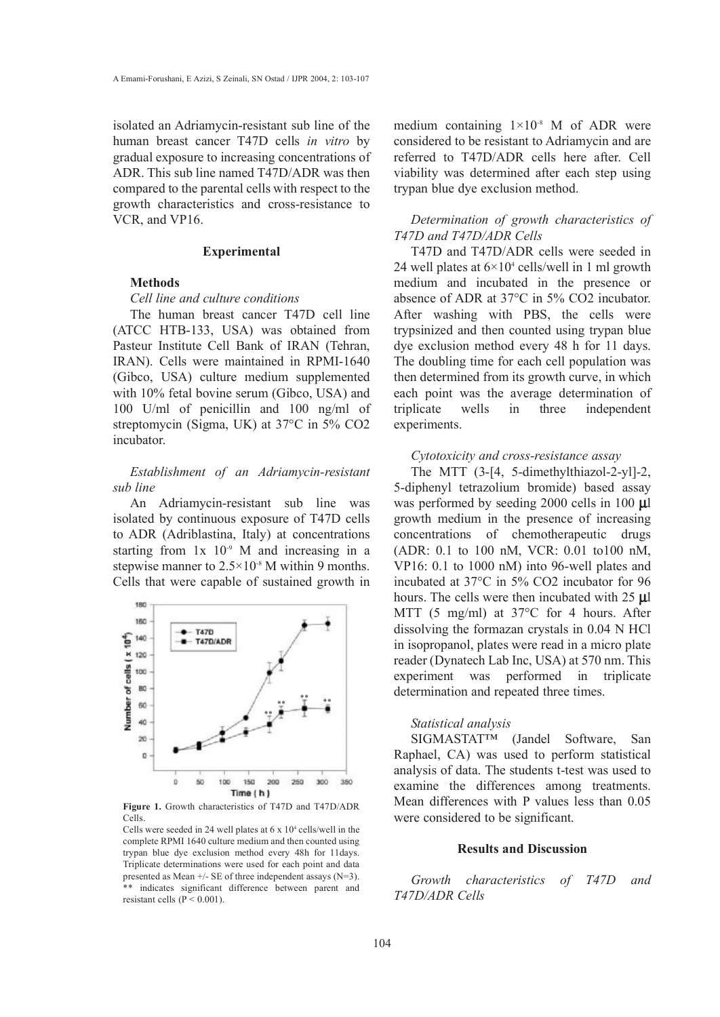isolated an Adriamycin-resistant sub line of the human breast cancer T47D cells *in vitro* by gradual exposure to increasing concentrations of ADR. This sub line named T47D/ADR was then compared to the parental cells with respect to the growth characteristics and cross-resistance to VCR, and VP16.

#### **Experimental**

# **Methods**

### *Cell line and culture conditions*

The human breast cancer T47D cell line (ATCC HTB-133, USA) was obtained from Pasteur Institute Cell Bank of IRAN (Tehran, IRAN). Cells were maintained in RPMI-1640 (Gibco, USA) culture medium supplemented with 10% fetal bovine serum (Gibco, USA) and 100 U/ml of penicillin and 100 ng/ml of streptomycin (Sigma, UK) at 37°C in 5% CO2 incubator.

*Establishment of an Adriamycin-resistant sub line* 

An Adriamycin-resistant sub line was isolated by continuous exposure of T47D cells to ADR (Adriblastina, Italy) at concentrations starting from  $1x$   $10<sup>-9</sup>$  M and increasing in a stepwise manner to  $2.5 \times 10^{-8}$  M within 9 months. Cells that were capable of sustained growth in



Figure 1. Growth characteristics of T47D and T47D/ADR Cells.

Cells were seeded in 24 well plates at  $6 \times 10^4$  cells/well in the complete RPMI 1640 culture medium and then counted using trypan blue dye exclusion method every 48h for 11days. Triplicate determinations were used for each point and data presented as Mean +/- SE of three independent assays (N=3). \*\* indicates significant difference between parent and resistant cells ( $P < 0.001$ ).

medium containing  $1\times10^{-8}$  M of ADR were considered to be resistant to Adriamycin and are referred to T47D/ADR cells here after. Cell viability was determined after each step using trypan blue dye exclusion method.

# *Determination of growth characteristics of T47D and T47D/ADR Cells*

T47D and T47D/ADR cells were seeded in 24 well plates at  $6\times10^4$  cells/well in 1 ml growth medium and incubated in the presence or absence of ADR at 37°C in 5% CO2 incubator. After washing with PBS, the cells were trypsinized and then counted using trypan blue dye exclusion method every 48 h for 11 days. The doubling time for each cell population was then determined from its growth curve, in which each point was the average determination of triplicate wells in three independent experiments.

# *Cytotoxicity and cross-resistance assay*

The MTT (3-[4, 5-dimethylthiazol-2-yl]-2, 5-diphenyl tetrazolium bromide) based assay was performed by seeding 2000 cells in 100 **k**l growth medium in the presence of increasing concentrations of chemotherapeutic drugs (ADR: 0.1 to 100 nM, VCR: 0.01 to100 nM, VP16: 0.1 to 1000 nM) into 96-well plates and incubated at 37°C in 5% CO2 incubator for 96 hours. The cells were then incubated with 25 **k**l MTT (5 mg/ml) at 37°C for 4 hours. After dissolving the formazan crystals in 0.04 N HCl in isopropanol, plates were read in a micro plate reader (Dynatech Lab Inc, USA) at 570 nm. This experiment was performed in triplicate determination and repeated three times.

### *Statistical analysis*

SIGMASTAT<sup>TM</sup> (Jandel Software, San Raphael, CA) was used to perform statistical analysis of data. The students t-test was used to examine the differences among treatments. Mean differences with P values less than 0.05 were considered to be significant.

#### Results and Discussion

*Growth characteristics of T47D and T47D/ADR Cells*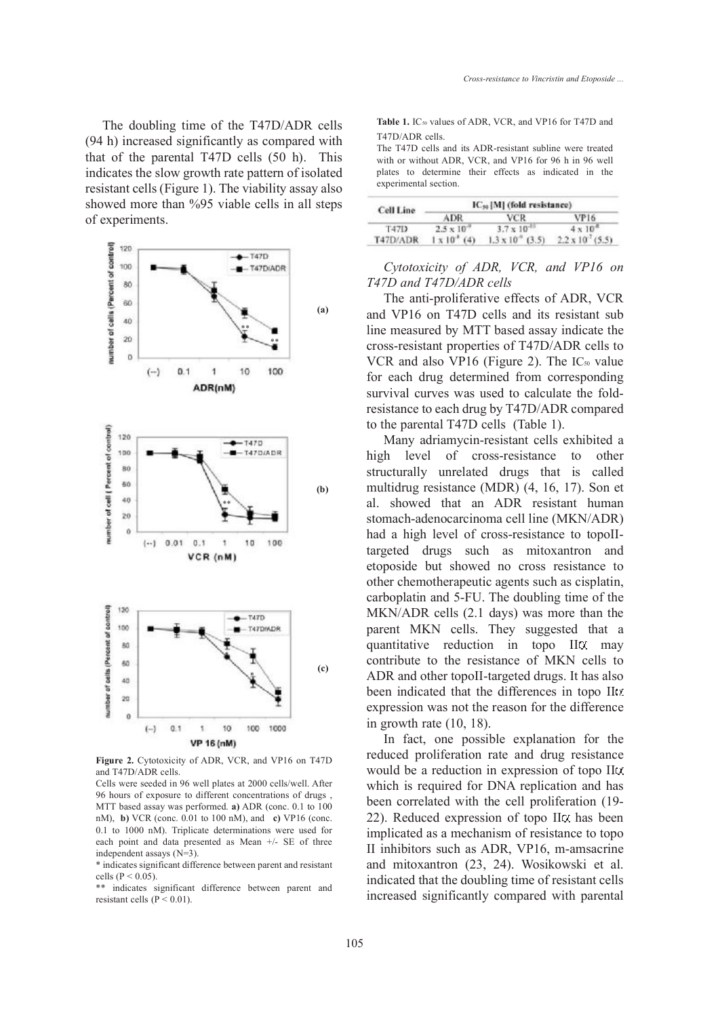The doubling time of the T47D/ADR cells (94 h) increased significantly as compared with that of the parental T47D cells (50 h). This indicates the slow growth rate pattern of isolated resistant cells (Figure 1). The viability assay also showed more than %95 viable cells in all steps of experiments.



Figure 2. Cytotoxicity of ADR, VCR, and VP16 on T47D and T47D/ADR cells.

Cells were seeded in 96 well plates at 2000 cells/well. After 96 hours of exposure to different concentrations of drugs , MTT based assay was performed. a) ADR (conc. 0.1 to 100 nM), b) VCR (conc. 0.01 to 100 nM), and c) VP16 (conc. 0.1 to 1000 nM). Triplicate determinations were used for each point and data presented as Mean +/- SE of three independent assays (N=3).

\* indicates significant difference between parent and resistant cells ( $P < 0.05$ ).

\*\* indicates significant difference between parent and resistant cells ( $P < 0.01$ ).

Table 1. IC<sub>50</sub> values of ADR, VCR, and VP16 for T47D and T47D/ADR cells.

The T47D cells and its ADR-resistant subline were treated with or without ADR, VCR, and VP16 for 96 h in 96 well plates to determine their effects as indicated in the experimental section.

| Cell Line   | IC <sub>so</sub> [M] (fold resistance) |                           |                            |
|-------------|----------------------------------------|---------------------------|----------------------------|
|             | <b>ADR</b>                             | <b>VCR</b>                | VP16                       |
| <b>T47D</b> | $2.5 \times 10^{-6}$                   | $3.7 \times 10^{-10}$     | $4 \times 10^{-8}$         |
| T47D/ADR    | $1 \times 10^{4}$ (4)                  | $1.3 \times 10^{9}$ (3.5) | $2.2 \times 10^{15}$ (5.5) |

## *Cytotoxicity of ADR, VCR, and VP16 on T47D and T47D/ADR cells*

The anti-proliferative effects of ADR, VCR and VP16 on T47D cells and its resistant sub line measured by MTT based assay indicate the cross-resistant properties of T47D/ADR cells to VCR and also VP16 (Figure 2). The  $IC_{50}$  value for each drug determined from corresponding survival curves was used to calculate the foldresistance to each drug by T47D/ADR compared to the parental T47D cells (Table 1).

Many adriamycin-resistant cells exhibited a high level of cross-resistance to other structurally unrelated drugs that is called multidrug resistance (MDR) (4, 16, 17). Son et al. showed that an ADR resistant human stomach-adenocarcinoma cell line (MKN/ADR) had a high level of cross-resistance to topoIItargeted drugs such as mitoxantron and etoposide but showed no cross resistance to other chemotherapeutic agents such as cisplatin, carboplatin and 5-FU. The doubling time of the MKN/ADR cells (2.1 days) was more than the parent MKN cells. They suggested that a quantitative reduction in topo II amay contribute to the resistance of MKN cells to ADR and other topoII-targeted drugs. It has also been indicated that the differences in topo IIt. expression was not the reason for the difference in growth rate (10, 18).

In fact, one possible explanation for the reduced proliferation rate and drug resistance would be a reduction in expression of topo II which is required for DNA replication and has been correlated with the cell proliferation (19- 22). Reduced expression of topo  $II\alpha$  has been implicated as a mechanism of resistance to topo II inhibitors such as ADR, VP16, m-amsacrine and mitoxantron (23, 24). Wosikowski et al. indicated that the doubling time of resistant cells increased significantly compared with parental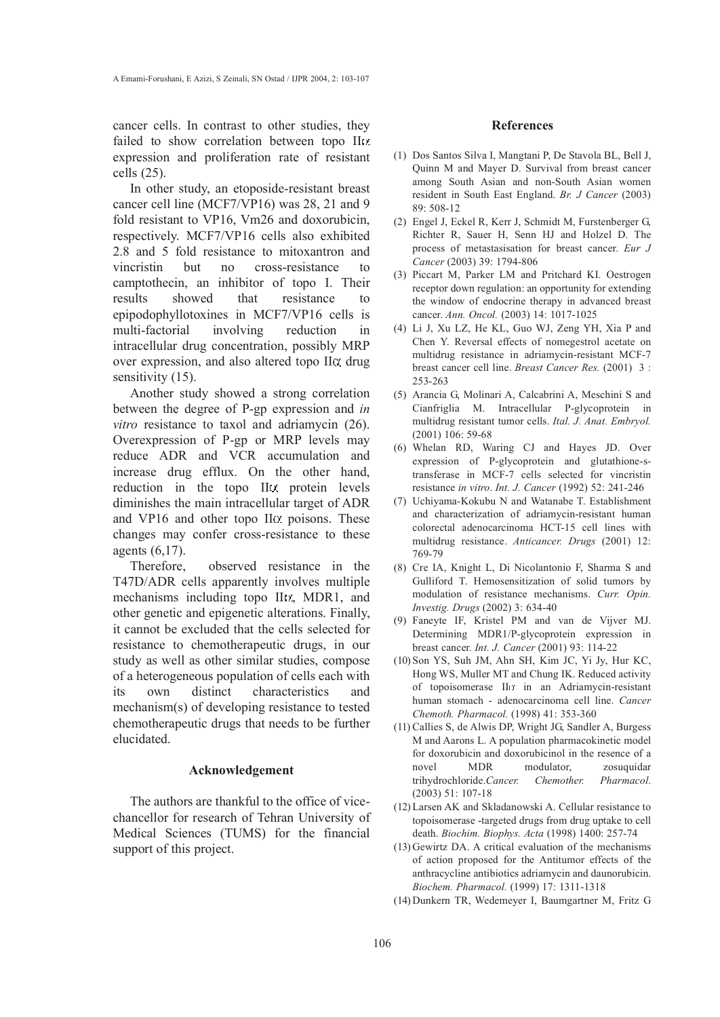cancer cells. In contrast to other studies, they failed to show correlation between topo IItz expression and proliferation rate of resistant cells (25).

In other study, an etoposide-resistant breast cancer cell line (MCF7/VP16) was 28, 21 and 9 fold resistant to VP16, Vm26 and doxorubicin, respectively. MCF7/VP16 cells also exhibited 2.8 and 5 fold resistance to mitoxantron and vincristin but no cross-resistance to camptothecin, an inhibitor of topo I. Their results showed that resistance to epipodophyllotoxines in MCF7/VP16 cells is multi-factorial involving reduction in intracellular drug concentration, possibly MRP over expression, and also altered topo  $\prod \alpha$  drug sensitivity  $(15)$ .

Another study showed a strong correlation between the degree of P-gp expression and *in vitro* resistance to taxol and adriamycin (26). Overexpression of P-gp or MRP levels may reduce ADR and VCR accumulation and increase drug efflux. On the other hand, reduction in the topo IItx protein levels diminishes the main intracellular target of ADR and VP16 and other topo  $\text{II}\alpha$  poisons. These changes may confer cross-resistance to these agents (6,17).

Therefore, observed resistance in the T47D/ADR cells apparently involves multiple mechanisms including topo IItz, MDR1, and other genetic and epigenetic alterations. Finally, it cannot be excluded that the cells selected for resistance to chemotherapeutic drugs, in our study as well as other similar studies, compose of a heterogeneous population of cells each with its own distinct characteristics and mechanism(s) of developing resistance to tested chemotherapeutic drugs that needs to be further elucidated.

#### Acknowledgement

The authors are thankful to the office of vicechancellor for research of Tehran University of Medical Sciences (TUMS) for the financial support of this project.

#### References

- (1) Dos Santos Silva I, Mangtani P, De Stavola BL, Bell J, Quinn M and Mayer D. Survival from breast cancer among South Asian and non-South Asian women resident in South East England. *Br. J Cancer* (2003)  $89.508 - 12$
- Engel J, Eckel R, Kerr J, Schmidt M, Furstenberger G, (2) Richter R, Sauer H, Senn HJ and Holzel D. The process of metastasisation for breast cancer. *Eur J Cancer* (2003) 39: 1794-806
- (3) Piccart M, Parker LM and Pritchard KI. Oestrogen receptor down regulation: an opportunity for extending the window of endocrine therapy in advanced breast cancer. *Ann. Oncol.* (2003) 14: 1017-1025
- Li J, Xu LZ, He KL, Guo WJ, Zeng YH, Xia P and (4) Chen Y. Reversal effects of nomegestrol acetate on multidrug resistance in adriamycin-resistant MCF-7 breast cancer cell line. *Breast Cancer Res.* (2001) 3 : 253-263
- (5) Arancia G, Molinari A, Calcabrini A, Meschini S and Cianfriglia M. Intracellular P-glycoprotein in multidrug resistant tumor cells. *Ital. J. Anat. Embryol.* (2001) 106: 59-68
- Whelan RD, Waring CJ and Hayes JD. Over (6) expression of P-glycoprotein and glutathione-stransferase in MCF-7 cells selected for vincristin resistance *in vitro*. *Int. J. Cancer* (1992) 52: 241-246
- (7) Uchiyama-Kokubu N and Watanabe T. Establishment and characterization of adriamycin-resistant human colorectal adenocarcinoma HCT-15 cell lines with multidrug resistance. *Anticancer. Drugs* (2001) 12: 769-79
- Cre IA, Knight L, Di Nicolantonio F, Sharma S and (8) Gulliford T. Hemosensitization of solid tumors by modulation of resistance mechanisms. *Curr. Opin. Investig. Drugs* (2002) 3: 634-40
- Faneyte IF, Kristel PM and van de Vijver MJ. (9) Determining MDR1/P-glycoprotein expression in breast cancer. *Int. J. Cancer* (2001) 93: 114-22
- (10)Son YS, Suh JM, Ahn SH, Kim JC, Yi Jy, Hur KC, Hong WS, Muller MT and Chung IK. Reduced activity of topoisomerase III<sup>n</sup> in an Adriamycin-resistant human stomach - adenocarcinoma cell line. *Cancer Chemoth. Pharmacol.* (1998) 41: 353-360
- (11) Callies S, de Alwis DP, Wright JG, Sandler A, Burgess M and Aarons L. A population pharmacokinetic model for doxorubicin and doxorubicinol in the resence of a novel MDR modulator, zosuquidar trihydrochloride.*Cancer. Chemother. Pharmacol*. (2003) 51: 107-18
- Larsen AK and Skladanowski A. Cellular resistance to (12) topoisomerase -targeted drugs from drug uptake to cell death. *Biochim. Biophys. Acta* (1998) 1400: 257-74
- $(13)$  Gewirtz DA. A critical evaluation of the mechanisms of action proposed for the Antitumor effects of the anthracycline antibiotics adriamycin and daunorubicin. *Biochem. Pharmacol.* (1999) 17: 1311-1318
- (14) Dunkern TR, Wedemeyer I, Baumgartner M, Fritz G